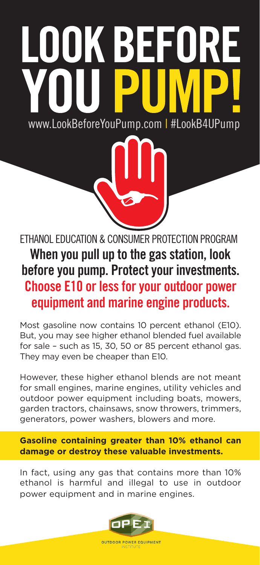## DOK BEFOR www.LookBeforeYouPump.com | #LookB4UPump

ETHANOL EDUCATION & CONSUMER PROTECTION PROGRAM When you pull up to the gas station, look before you pump. Protect your investments. Choose E10 or less for your outdoor power equipment and marine engine products.

Most gasoline now contains 10 percent ethanol (E10). But, you may see higher ethanol blended fuel available for sale – such as 15, 30, 50 or 85 percent ethanol gas. They may even be cheaper than E10.

However, these higher ethanol blends are not meant for small engines, marine engines, utility vehicles and outdoor power equipment including boats, mowers, garden tractors, chainsaws, snow throwers, trimmers, generators, power washers, blowers and more.

**Gasoline containing greater than 10% ethanol can damage or destroy these valuable investments.**

In fact, using any gas that contains more than 10% ethanol is harmful and illegal to use in outdoor power equipment and in marine engines.



**OUTDOOR POWER EQUIPMENT**